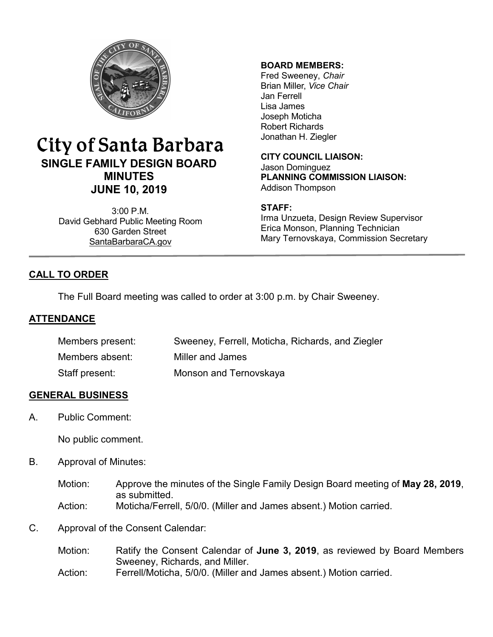

# City of Santa Barbara **SINGLE FAMILY DESIGN BOARD MINUTES JUNE 10, 2019**

3:00 P.M. David Gebhard Public Meeting Room 630 Garden Street [SantaBarbaraCA.gov](http://www.santabarbaraca.gov/)

#### **BOARD MEMBERS:**

Fred Sweeney, *Chair* Brian Miller, *Vice Chair* Jan Ferrell Lisa James Joseph Moticha Robert Richards Jonathan H. Ziegler

**CITY COUNCIL LIAISON:** Jason Dominguez **PLANNING COMMISSION LIAISON:** Addison Thompson

### **STAFF:**

Irma Unzueta, Design Review Supervisor Erica Monson, Planning Technician Mary Ternovskaya, Commission Secretary

# **CALL TO ORDER**

The Full Board meeting was called to order at 3:00 p.m. by Chair Sweeney.

# **ATTENDANCE**

| Members present: | Sweeney, Ferrell, Moticha, Richards, and Ziegler |
|------------------|--------------------------------------------------|
| Members absent:  | Miller and James                                 |
| Staff present:   | Monson and Ternovskaya                           |

# **GENERAL BUSINESS**

A. Public Comment:

No public comment.

B. Approval of Minutes:

Motion: Approve the minutes of the Single Family Design Board meeting of **May 28, 2019**, as submitted. Action: Moticha/Ferrell, 5/0/0. (Miller and James absent.) Motion carried.

C. Approval of the Consent Calendar:

Motion: Ratify the Consent Calendar of **June 3, 2019**, as reviewed by Board Members Sweeney, Richards, and Miller. Action: Ferrell/Moticha, 5/0/0. (Miller and James absent.) Motion carried.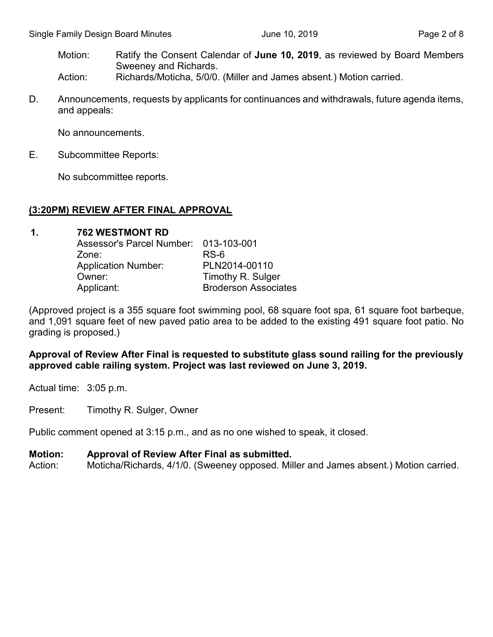- Motion: Ratify the Consent Calendar of **June 10, 2019**, as reviewed by Board Members Sweeney and Richards.
- Action: Richards/Moticha, 5/0/0. (Miller and James absent.) Motion carried.
- D. Announcements, requests by applicants for continuances and withdrawals, future agenda items, and appeals:

No announcements.

E. Subcommittee Reports:

No subcommittee reports.

#### **(3:20PM) REVIEW AFTER FINAL APPROVAL**

| $\mathbf 1$ | <b>762 WESTMONT RD</b>                |                             |  |
|-------------|---------------------------------------|-----------------------------|--|
|             | Assessor's Parcel Number: 013-103-001 |                             |  |
|             | Zone:                                 | $RS-6$                      |  |
|             | <b>Application Number:</b>            | PLN2014-00110               |  |
|             | Owner:                                | Timothy R. Sulger           |  |
|             | Applicant:                            | <b>Broderson Associates</b> |  |

(Approved project is a 355 square foot swimming pool, 68 square foot spa, 61 square foot barbeque, and 1,091 square feet of new paved patio area to be added to the existing 491 square foot patio. No grading is proposed.)

#### **Approval of Review After Final is requested to substitute glass sound railing for the previously approved cable railing system. Project was last reviewed on June 3, 2019.**

Actual time: 3:05 p.m.

Present: Timothy R. Sulger, Owner

Public comment opened at 3:15 p.m., and as no one wished to speak, it closed.

#### **Motion: Approval of Review After Final as submitted.**

Action: Moticha/Richards, 4/1/0. (Sweeney opposed. Miller and James absent.) Motion carried.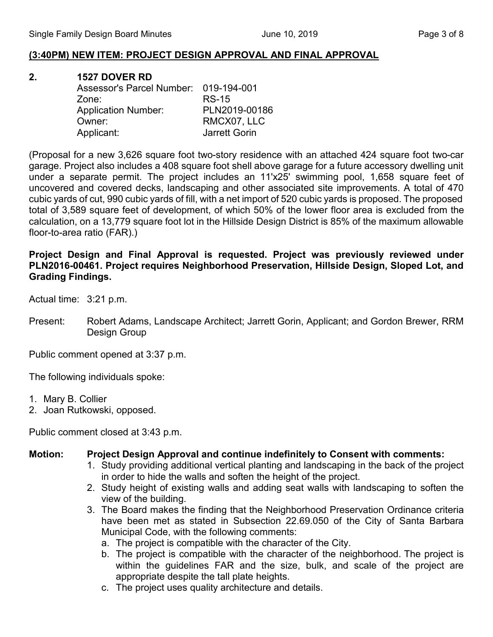### **(3:40PM) NEW ITEM: PROJECT DESIGN APPROVAL AND FINAL APPROVAL**

#### **2. 1527 DOVER RD**

| Assessor's Parcel Number: 019-194-001 |                      |
|---------------------------------------|----------------------|
| Zone:                                 | <b>RS-15</b>         |
| <b>Application Number:</b>            | PLN2019-00186        |
| Owner:                                | RMCX07, LLC          |
| Applicant:                            | <b>Jarrett Gorin</b> |

(Proposal for a new 3,626 square foot two-story residence with an attached 424 square foot two-car garage. Project also includes a 408 square foot shell above garage for a future accessory dwelling unit under a separate permit. The project includes an 11'x25' swimming pool, 1,658 square feet of uncovered and covered decks, landscaping and other associated site improvements. A total of 470 cubic yards of cut, 990 cubic yards of fill, with a net import of 520 cubic yards is proposed. The proposed total of 3,589 square feet of development, of which 50% of the lower floor area is excluded from the calculation, on a 13,779 square foot lot in the Hillside Design District is 85% of the maximum allowable floor-to-area ratio (FAR).)

#### **Project Design and Final Approval is requested. Project was previously reviewed under PLN2016-00461. Project requires Neighborhood Preservation, Hillside Design, Sloped Lot, and Grading Findings.**

Actual time: 3:21 p.m.

Present: Robert Adams, Landscape Architect; Jarrett Gorin, Applicant; and Gordon Brewer, RRM Design Group

Public comment opened at 3:37 p.m.

The following individuals spoke:

- 1. Mary B. Collier
- 2. Joan Rutkowski, opposed.

Public comment closed at 3:43 p.m.

#### **Motion: Project Design Approval and continue indefinitely to Consent with comments:**

- 1. Study providing additional vertical planting and landscaping in the back of the project in order to hide the walls and soften the height of the project.
- 2. Study height of existing walls and adding seat walls with landscaping to soften the view of the building.
- 3. The Board makes the finding that the Neighborhood Preservation Ordinance criteria have been met as stated in Subsection 22.69.050 of the City of Santa Barbara Municipal Code, with the following comments:
	- a. The project is compatible with the character of the City.
	- b. The project is compatible with the character of the neighborhood. The project is within the guidelines FAR and the size, bulk, and scale of the project are appropriate despite the tall plate heights.
	- c. The project uses quality architecture and details.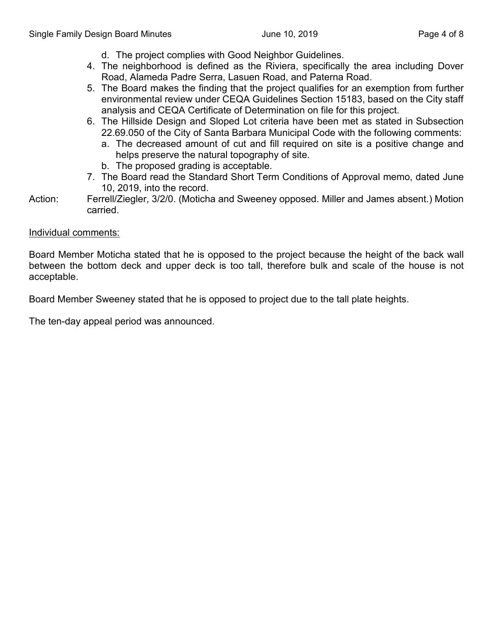- d. The project complies with Good Neighbor Guidelines.
- 4. The neighborhood is defined as the Riviera, specifically the area including Dover Road, Alameda Padre Serra, Lasuen Road, and Paterna Road.
- 5. The Board makes the finding that the project qualifies for an exemption from further environmental review under CEQA Guidelines Section 15183, based on the City staff analysis and CEQA Certificate of Determination on file for this project.
- 6. The Hillside Design and Sloped Lot criteria have been met as stated in Subsection 22.69.050 of the City of Santa Barbara Municipal Code with the following comments:
	- a. The decreased amount of cut and fill required on site is a positive change and helps preserve the natural topography of site.
	- b. The proposed grading is acceptable.
- 7. The Board read the Standard Short Term Conditions of Approval memo, dated June 10, 2019, into the record.
- Action: Ferrell/Ziegler, 3/2/0. (Moticha and Sweeney opposed. Miller and James absent.) Motion carried.

#### Individual comments:

Board Member Moticha stated that he is opposed to the project because the height of the back wall between the bottom deck and upper deck is too tall, therefore bulk and scale of the house is not acceptable.

Board Member Sweeney stated that he is opposed to project due to the tall plate heights.

The ten-day appeal period was announced.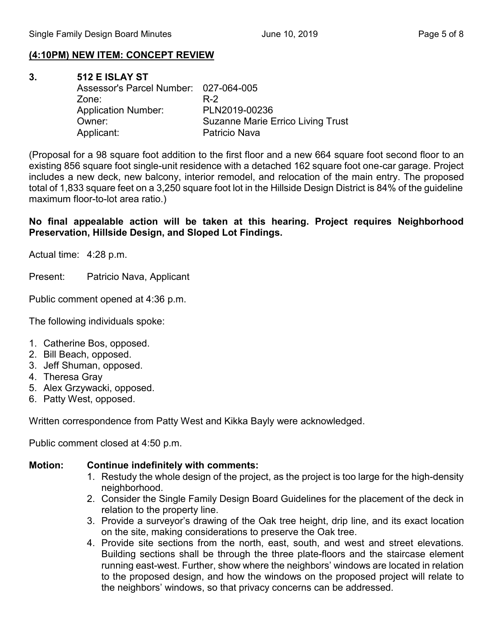#### **(4:10PM) NEW ITEM: CONCEPT REVIEW**

**3. 512 E ISLAY ST** Assessor's Parcel Number: 027-064-005 Zone: R-2 Application Number: PLN2019-00236 Owner: Suzanne Marie Errico Living Trust Applicant: Patricio Nava

(Proposal for a 98 square foot addition to the first floor and a new 664 square foot second floor to an existing 856 square foot single-unit residence with a detached 162 square foot one-car garage. Project includes a new deck, new balcony, interior remodel, and relocation of the main entry. The proposed total of 1,833 square feet on a 3,250 square foot lot in the Hillside Design District is 84% of the guideline maximum floor-to-lot area ratio.)

**No final appealable action will be taken at this hearing. Project requires Neighborhood Preservation, Hillside Design, and Sloped Lot Findings.**

Actual time: 4:28 p.m.

Present: Patricio Nava, Applicant

Public comment opened at 4:36 p.m.

The following individuals spoke:

- 1. Catherine Bos, opposed.
- 2. Bill Beach, opposed.
- 3. Jeff Shuman, opposed.
- 4. Theresa Gray
- 5. Alex Grzywacki, opposed.
- 6. Patty West, opposed.

Written correspondence from Patty West and Kikka Bayly were acknowledged.

Public comment closed at 4:50 p.m.

#### **Motion: Continue indefinitely with comments:**

- 1. Restudy the whole design of the project, as the project is too large for the high-density neighborhood.
- 2. Consider the Single Family Design Board Guidelines for the placement of the deck in relation to the property line.
- 3. Provide a surveyor's drawing of the Oak tree height, drip line, and its exact location on the site, making considerations to preserve the Oak tree.
- 4. Provide site sections from the north, east, south, and west and street elevations. Building sections shall be through the three plate-floors and the staircase element running east-west. Further, show where the neighbors' windows are located in relation to the proposed design, and how the windows on the proposed project will relate to the neighbors' windows, so that privacy concerns can be addressed.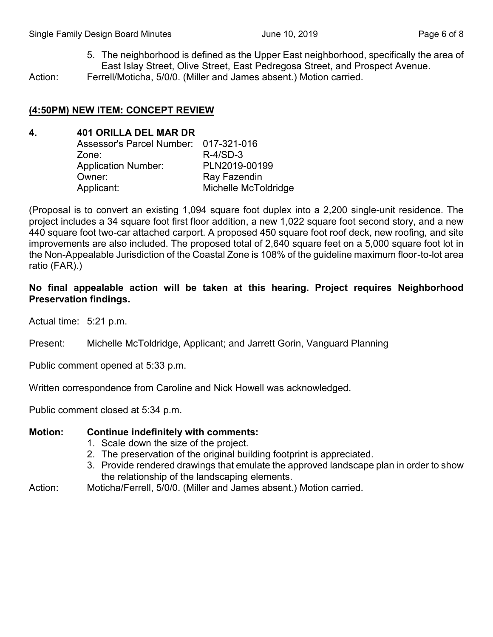5. The neighborhood is defined as the Upper East neighborhood, specifically the area of East Islay Street, Olive Street, East Pedregosa Street, and Prospect Avenue.

Action: Ferrell/Moticha, 5/0/0. (Miller and James absent.) Motion carried.

## **(4:50PM) NEW ITEM: CONCEPT REVIEW**

#### **4. 401 ORILLA DEL MAR DR**

| Assessor's Parcel Number: 017-321-016 |
|---------------------------------------|
| $R-4/SD-3$                            |
| PLN2019-00199                         |
| Ray Fazendin                          |
| Michelle McToldridge                  |
|                                       |

(Proposal is to convert an existing 1,094 square foot duplex into a 2,200 single-unit residence. The project includes a 34 square foot first floor addition, a new 1,022 square foot second story, and a new 440 square foot two-car attached carport. A proposed 450 square foot roof deck, new roofing, and site improvements are also included. The proposed total of 2,640 square feet on a 5,000 square foot lot in the Non-Appealable Jurisdiction of the Coastal Zone is 108% of the guideline maximum floor-to-lot area ratio (FAR).)

#### **No final appealable action will be taken at this hearing. Project requires Neighborhood Preservation findings.**

Actual time: 5:21 p.m.

Present: Michelle McToldridge, Applicant; and Jarrett Gorin, Vanguard Planning

Public comment opened at 5:33 p.m.

Written correspondence from Caroline and Nick Howell was acknowledged.

Public comment closed at 5:34 p.m.

#### **Motion: Continue indefinitely with comments:**

- 1. Scale down the size of the project.
- 2. The preservation of the original building footprint is appreciated.
- 3. Provide rendered drawings that emulate the approved landscape plan in order to show the relationship of the landscaping elements.
- Action: Moticha/Ferrell, 5/0/0. (Miller and James absent.) Motion carried.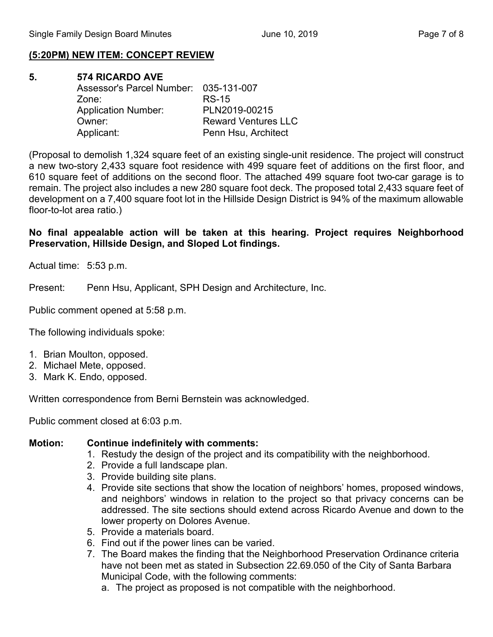#### **(5:20PM) NEW ITEM: CONCEPT REVIEW**

**5. 574 RICARDO AVE** Assessor's Parcel Number: 035-131-007 Zone: RS-15 Application Number: PLN2019-00215 Owner: Reward Ventures LLC Applicant: Penn Hsu, Architect

(Proposal to demolish 1,324 square feet of an existing single-unit residence. The project will construct a new two-story 2,433 square foot residence with 499 square feet of additions on the first floor, and 610 square feet of additions on the second floor. The attached 499 square foot two-car garage is to remain. The project also includes a new 280 square foot deck. The proposed total 2,433 square feet of development on a 7,400 square foot lot in the Hillside Design District is 94% of the maximum allowable floor-to-lot area ratio.)

#### **No final appealable action will be taken at this hearing. Project requires Neighborhood Preservation, Hillside Design, and Sloped Lot findings.**

Actual time: 5:53 p.m.

Present: Penn Hsu, Applicant, SPH Design and Architecture, Inc.

Public comment opened at 5:58 p.m.

The following individuals spoke:

- 1. Brian Moulton, opposed.
- 2. Michael Mete, opposed.
- 3. Mark K. Endo, opposed.

Written correspondence from Berni Bernstein was acknowledged.

Public comment closed at 6:03 p.m.

#### **Motion: Continue indefinitely with comments:**

- 1. Restudy the design of the project and its compatibility with the neighborhood.
- 2. Provide a full landscape plan.
- 3. Provide building site plans.
- 4. Provide site sections that show the location of neighbors' homes, proposed windows, and neighbors' windows in relation to the project so that privacy concerns can be addressed. The site sections should extend across Ricardo Avenue and down to the lower property on Dolores Avenue.
- 5. Provide a materials board.
- 6. Find out if the power lines can be varied.
- 7. The Board makes the finding that the Neighborhood Preservation Ordinance criteria have not been met as stated in Subsection 22.69.050 of the City of Santa Barbara Municipal Code, with the following comments:
	- a. The project as proposed is not compatible with the neighborhood.